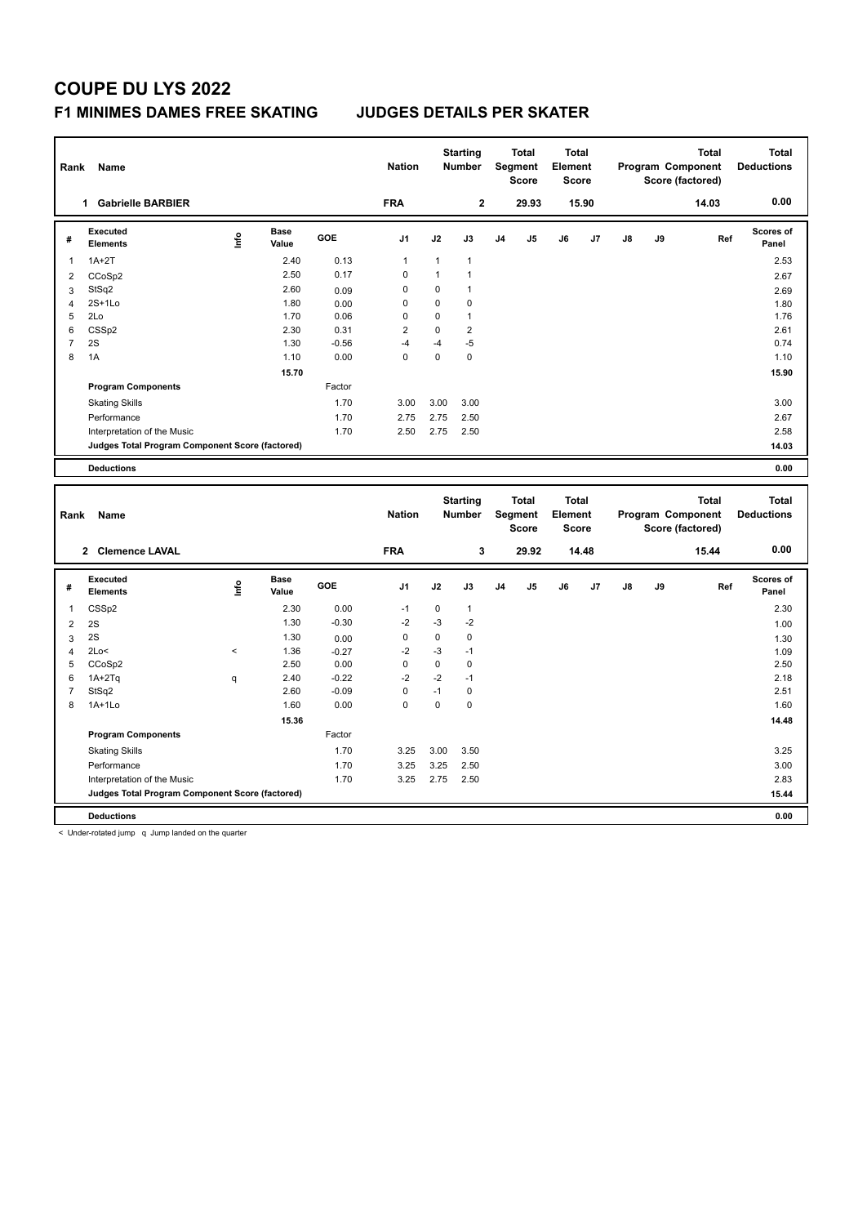## **COUPE DU LYS 2022 F1 MINIMES DAMES FREE SKATING JUDGES DETAILS PER SKATER**

| Rank                | Name                                            |       |                      |                 | <b>Nation</b>  |              | <b>Starting</b><br><b>Number</b> |                | Total<br>Segment<br><b>Score</b> | Total<br>Element<br><b>Score</b> |       |    |    | <b>Total</b><br>Program Component<br>Score (factored) |     | <b>Total</b><br><b>Deductions</b> |
|---------------------|-------------------------------------------------|-------|----------------------|-----------------|----------------|--------------|----------------------------------|----------------|----------------------------------|----------------------------------|-------|----|----|-------------------------------------------------------|-----|-----------------------------------|
|                     | 1 Gabrielle BARBIER                             |       |                      |                 | <b>FRA</b>     |              | $\mathbf 2$                      |                | 29.93                            |                                  | 15.90 |    |    | 14.03                                                 |     | 0.00                              |
| #                   | <b>Executed</b><br><b>Elements</b>              | Lnfo  | <b>Base</b><br>Value | GOE             | J <sub>1</sub> | J2           | J3                               | J4             | J5                               | J6                               | J7    | J8 | J9 |                                                       | Ref | Scores of<br>Panel                |
| $\mathbf 1$         | $1A+2T$                                         |       | 2.40                 | 0.13            | $\mathbf{1}$   | $\mathbf{1}$ | $\mathbf{1}$                     |                |                                  |                                  |       |    |    |                                                       |     | 2.53                              |
| $\overline{2}$      | CCoSp2                                          |       | 2.50                 | 0.17            | 0              | $\mathbf{1}$ | $\mathbf{1}$                     |                |                                  |                                  |       |    |    |                                                       |     | 2.67                              |
| 3                   | StSq2                                           |       | 2.60                 | 0.09            | $\mathbf 0$    | $\pmb{0}$    | $\mathbf{1}$                     |                |                                  |                                  |       |    |    |                                                       |     | 2.69                              |
| $\overline{4}$      | $2S+1Lo$                                        |       | 1.80                 | 0.00            | $\mathbf 0$    | 0            | $\mathbf 0$                      |                |                                  |                                  |       |    |    |                                                       |     | 1.80                              |
| 5                   | 2Lo                                             |       | 1.70                 | 0.06            | 0              | 0            | $\mathbf{1}$                     |                |                                  |                                  |       |    |    |                                                       |     | 1.76                              |
| 6                   | CSS <sub>p2</sub>                               |       | 2.30                 | 0.31            | $\overline{2}$ | $\mathbf 0$  | $\overline{2}$                   |                |                                  |                                  |       |    |    |                                                       |     | 2.61                              |
| $\overline{7}$      | 2S                                              |       | 1.30                 | $-0.56$         | $-4$           | $-4$         | $-5$                             |                |                                  |                                  |       |    |    |                                                       |     | 0.74                              |
| 8                   | 1A                                              |       | 1.10                 | 0.00            | $\mathbf 0$    | $\mathbf 0$  | $\mathbf 0$                      |                |                                  |                                  |       |    |    |                                                       |     | 1.10                              |
|                     |                                                 |       | 15.70                |                 |                |              |                                  |                |                                  |                                  |       |    |    |                                                       |     | 15.90                             |
|                     | <b>Program Components</b>                       |       |                      | Factor          |                |              |                                  |                |                                  |                                  |       |    |    |                                                       |     |                                   |
|                     | <b>Skating Skills</b>                           |       |                      | 1.70            | 3.00           | 3.00         | 3.00                             |                |                                  |                                  |       |    |    |                                                       |     | 3.00                              |
|                     | Performance                                     |       |                      | 1.70            | 2.75           | 2.75         | 2.50                             |                |                                  |                                  |       |    |    |                                                       |     | 2.67                              |
|                     | Interpretation of the Music                     |       |                      | 1.70            | 2.50           | 2.75         | 2.50                             |                |                                  |                                  |       |    |    |                                                       |     | 2.58                              |
|                     | Judges Total Program Component Score (factored) |       |                      |                 |                |              |                                  |                |                                  |                                  |       |    |    |                                                       |     | 14.03                             |
|                     | <b>Deductions</b>                               |       |                      |                 |                |              |                                  |                |                                  |                                  |       |    |    |                                                       |     | 0.00                              |
|                     |                                                 |       |                      |                 |                |              |                                  |                |                                  |                                  |       |    |    |                                                       |     |                                   |
|                     |                                                 |       |                      |                 |                |              |                                  |                |                                  |                                  |       |    |    |                                                       |     |                                   |
|                     |                                                 |       |                      |                 |                |              | <b>Starting</b>                  |                | <b>Total</b>                     | <b>Total</b>                     |       |    |    | <b>Total</b>                                          |     | <b>Total</b>                      |
| Rank                | Name                                            |       |                      |                 | <b>Nation</b>  |              | <b>Number</b>                    |                | Segment<br><b>Score</b>          | Element<br><b>Score</b>          |       |    |    | Program Component<br>Score (factored)                 |     | <b>Deductions</b>                 |
|                     | 2 Clemence LAVAL                                |       |                      |                 | <b>FRA</b>     |              | 3                                |                | 29.92                            |                                  | 14.48 |    |    | 15.44                                                 |     | 0.00                              |
|                     |                                                 |       |                      |                 |                |              |                                  |                |                                  |                                  |       |    |    |                                                       |     |                                   |
| #                   | <b>Executed</b><br><b>Elements</b>              | Lnfo  | <b>Base</b><br>Value | GOE             | J1             | J2           | J3                               | J <sub>4</sub> | J <sub>5</sub>                   | J6                               | J7    | J8 | J9 |                                                       | Ref | Scores of<br>Panel                |
| $\mathbf{1}$        |                                                 |       | 2.30                 | 0.00            | $-1$           | $\mathbf 0$  | $\mathbf{1}$                     |                |                                  |                                  |       |    |    |                                                       |     | 2.30                              |
|                     | CSSp2                                           |       | 1.30                 | $-0.30$         | $-2$           | $-3$         | $-2$                             |                |                                  |                                  |       |    |    |                                                       |     |                                   |
| $\overline{2}$      | 2S<br>2S                                        |       | 1.30                 |                 | $\mathbf 0$    | $\mathbf 0$  | $\pmb{0}$                        |                |                                  |                                  |       |    |    |                                                       |     | 1.00                              |
| 3<br>$\overline{4}$ | 2Lo<                                            | $\,<$ | 1.36                 | 0.00<br>$-0.27$ | $-2$           | $-3$         | $-1$                             |                |                                  |                                  |       |    |    |                                                       |     | 1.30                              |
| 5                   | CCoSp2                                          |       | 2.50                 | 0.00            | $\mathbf 0$    | $\mathbf 0$  | $\mathbf 0$                      |                |                                  |                                  |       |    |    |                                                       |     | 1.09<br>2.50                      |
| 6                   | $1A+2Tq$                                        | q     | 2.40                 | $-0.22$         | $-2$           | $-2$         | $-1$                             |                |                                  |                                  |       |    |    |                                                       |     | 2.18                              |
| $\overline{7}$      | StSq2                                           |       | 2.60                 | $-0.09$         | $\mathbf 0$    | $-1$         | $\pmb{0}$                        |                |                                  |                                  |       |    |    |                                                       |     | 2.51                              |
| 8                   | $1A+1Lo$                                        |       | 1.60                 | 0.00            | $\mathbf 0$    | 0            | $\mathbf 0$                      |                |                                  |                                  |       |    |    |                                                       |     | 1.60                              |
|                     |                                                 |       | 15.36                |                 |                |              |                                  |                |                                  |                                  |       |    |    |                                                       |     | 14.48                             |
|                     | <b>Program Components</b>                       |       |                      | Factor          |                |              |                                  |                |                                  |                                  |       |    |    |                                                       |     |                                   |
|                     | <b>Skating Skills</b>                           |       |                      | 1.70            | 3.25           | 3.00         | 3.50                             |                |                                  |                                  |       |    |    |                                                       |     | 3.25                              |
|                     |                                                 |       |                      |                 |                |              |                                  |                |                                  |                                  |       |    |    |                                                       |     |                                   |
|                     | Performance<br>Interpretation of the Music      |       |                      | 1.70<br>1.70    | 3.25<br>3.25   | 3.25<br>2.75 | 2.50<br>2.50                     |                |                                  |                                  |       |    |    |                                                       |     | 3.00<br>2.83                      |
|                     | Judges Total Program Component Score (factored) |       |                      |                 |                |              |                                  |                |                                  |                                  |       |    |    |                                                       |     | 15.44                             |

< Under-rotated jump q Jump landed on the quarter